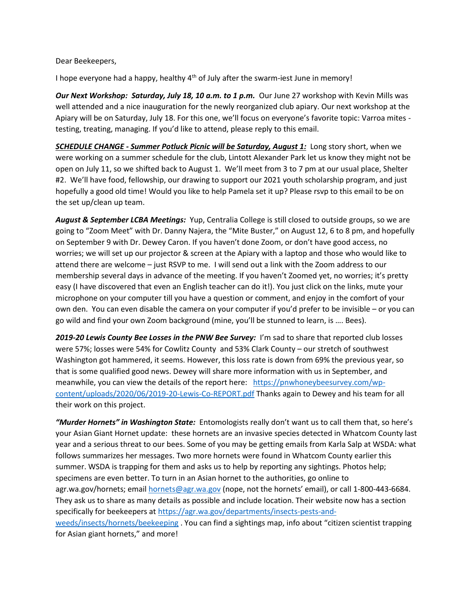Dear Beekeepers,

I hope everyone had a happy, healthy 4<sup>th</sup> of July after the swarm-iest June in memory!

*Our Next Workshop: Saturday, July 18, 10 a.m. to 1 p.m.* Our June 27 workshop with Kevin Mills was well attended and a nice inauguration for the newly reorganized club apiary. Our next workshop at the Apiary will be on Saturday, July 18. For this one, we'll focus on everyone's favorite topic: Varroa mites testing, treating, managing. If you'd like to attend, please reply to this email.

*SCHEDULE CHANGE - Summer Potluck Picnic will be Saturday, August 1:* Long story short, when we were working on a summer schedule for the club, Lintott Alexander Park let us know they might not be open on July 11, so we shifted back to August 1. We'll meet from 3 to 7 pm at our usual place, Shelter #2. We'll have food, fellowship, our drawing to support our 2021 youth scholarship program, and just hopefully a good old time! Would you like to help Pamela set it up? Please rsvp to this email to be on the set up/clean up team.

*August & September LCBA Meetings:* Yup, Centralia College is still closed to outside groups, so we are going to "Zoom Meet" with Dr. Danny Najera, the "Mite Buster," on August 12, 6 to 8 pm, and hopefully on September 9 with Dr. Dewey Caron. If you haven't done Zoom, or don't have good access, no worries; we will set up our projector & screen at the Apiary with a laptop and those who would like to attend there are welcome – just RSVP to me. I will send out a link with the Zoom address to our membership several days in advance of the meeting. If you haven't Zoomed yet, no worries; it's pretty easy (I have discovered that even an English teacher can do it!). You just click on the links, mute your microphone on your computer till you have a question or comment, and enjoy in the comfort of your own den. You can even disable the camera on your computer if you'd prefer to be invisible – or you can go wild and find your own Zoom background (mine, you'll be stunned to learn, is …. Bees).

2019-20 Lewis County Bee Losses in the PNW Bee Survey: I'm sad to share that reported club losses were 57%; losses were 54% for Cowlitz County and 53% Clark County – our stretch of southwest Washington got hammered, it seems. However, this loss rate is down from 69% the previous year, so that is some qualified good news. Dewey will share more information with us in September, and meanwhile, you can view the details of the report here: [https://pnwhoneybeesurvey.com/wp](https://pnwhoneybeesurvey.com/wp-content/uploads/2020/06/2019-20-Lewis-Co-REPORT.pdf)[content/uploads/2020/06/2019-20-Lewis-Co-REPORT.pdf](https://pnwhoneybeesurvey.com/wp-content/uploads/2020/06/2019-20-Lewis-Co-REPORT.pdf) Thanks again to Dewey and his team for all their work on this project.

*"Murder Hornets" in Washington State:* Entomologists really don't want us to call them that, so here's your Asian Giant Hornet update: these hornets are an invasive species detected in Whatcom County last year and a serious threat to our bees. Some of you may be getting emails from Karla Salp at WSDA: what follows summarizes her messages. Two more hornets were found in Whatcom County earlier this summer. WSDA is trapping for them and asks us to help by reporting any sightings. Photos help; specimens are even better. To turn in an Asian hornet to the authorities, go online to agr.wa.gov/hornets; email [hornets@agr.wa.gov](mailto:hornets@agr.wa.gov) (nope, not the hornets' email), or call 1-800-443-6684. They ask us to share as many details as possible and include location. Their website now has a section specifically for beekeepers a[t https://agr.wa.gov/departments/insects-pests-and](https://agr.wa.gov/departments/insects-pests-and-weeds/insects/hornets/beekeeping)[weeds/insects/hornets/beekeeping](https://agr.wa.gov/departments/insects-pests-and-weeds/insects/hornets/beekeeping) . You can find a sightings map, info about "citizen scientist trapping for Asian giant hornets," and more!